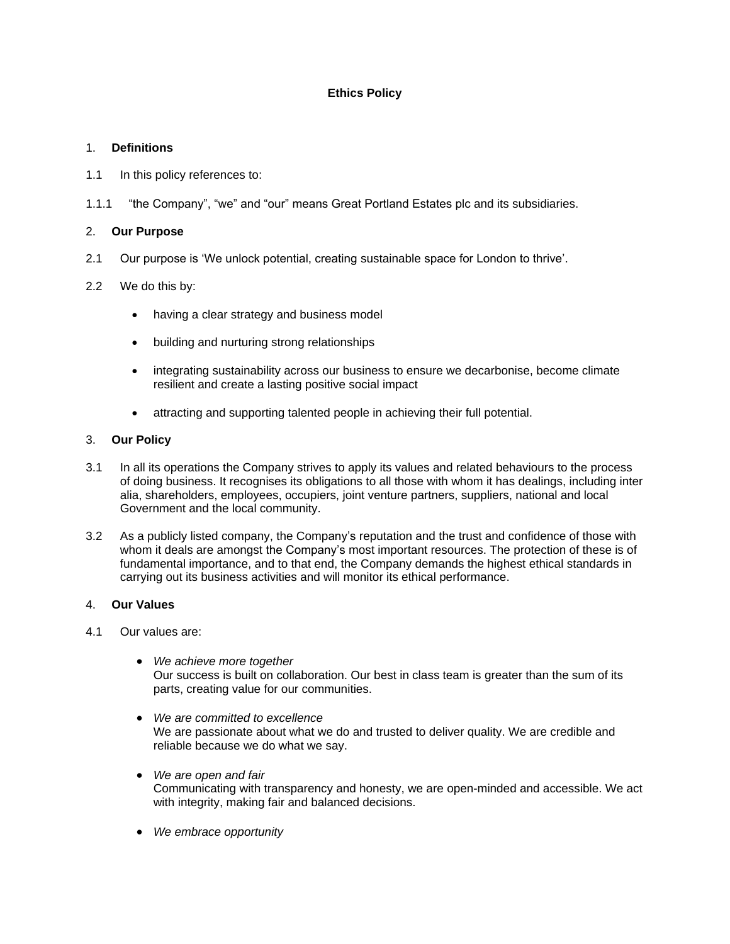# **Ethics Policy**

## 1. **Definitions**

- 1.1 In this policy references to:
- 1.1.1 "the Company", "we" and "our" means Great Portland Estates plc and its subsidiaries.

## 2. **Our Purpose**

2.1 Our purpose is 'We unlock potential, creating sustainable space for London to thrive'.

## 2.2 We do this by:

- having a clear strategy and business model
- building and nurturing strong relationships
- integrating sustainability across our business to ensure we decarbonise, become climate resilient and create a lasting positive social impact
- attracting and supporting talented people in achieving their full potential.

## 3. **Our Policy**

- 3.1 In all its operations the Company strives to apply its values and related behaviours to the process of doing business. It recognises its obligations to all those with whom it has dealings, including inter alia, shareholders, employees, occupiers, joint venture partners, suppliers, national and local Government and the local community.
- 3.2 As a publicly listed company, the Company's reputation and the trust and confidence of those with whom it deals are amongst the Company's most important resources. The protection of these is of fundamental importance, and to that end, the Company demands the highest ethical standards in carrying out its business activities and will monitor its ethical performance.

## 4. **Our Values**

- 4.1 Our values are:
	- *We achieve more together* Our success is built on collaboration. Our best in class team is greater than the sum of its parts, creating value for our communities.
	- *We are committed to excellence* We are passionate about what we do and trusted to deliver quality. We are credible and reliable because we do what we say.
	- *We are open and fair* Communicating with transparency and honesty, we are open-minded and accessible. We act with integrity, making fair and balanced decisions.
	- *We embrace opportunity*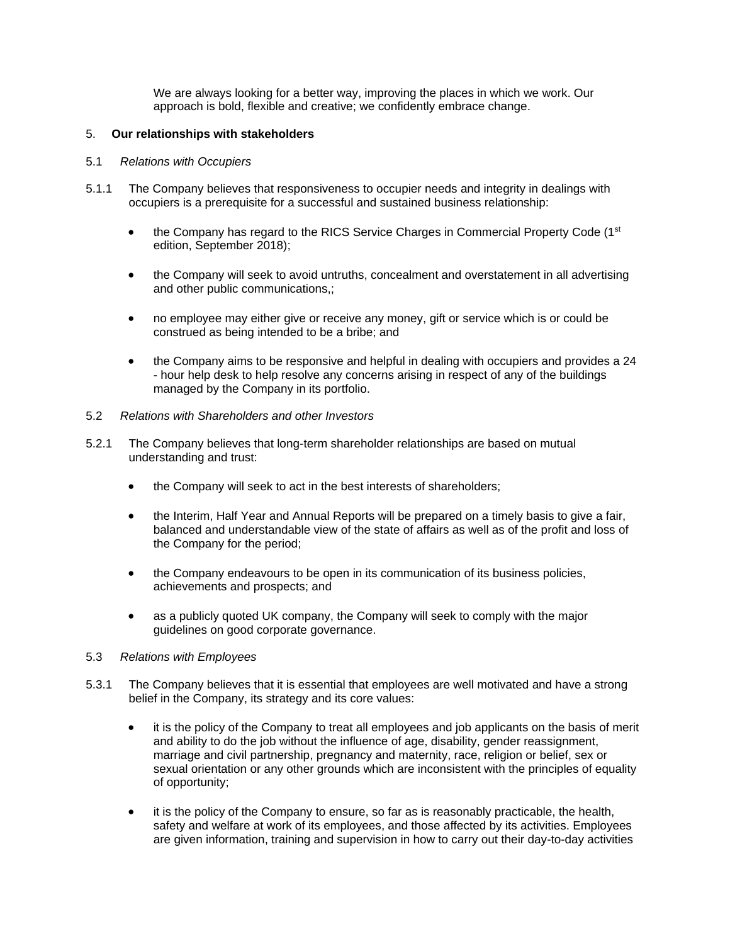We are always looking for a better way, improving the places in which we work. Our approach is bold, flexible and creative; we confidently embrace change.

#### 5. **Our relationships with stakeholders**

#### 5.1 *Relations with Occupiers*

- 5.1.1 The Company believes that responsiveness to occupier needs and integrity in dealings with occupiers is a prerequisite for a successful and sustained business relationship:
	- $\bullet$  the Company has regard to the RICS Service Charges in Commercial Property Code (1<sup>st</sup>) edition, September 2018);
	- the Company will seek to avoid untruths, concealment and overstatement in all advertising and other public communications,;
	- no employee may either give or receive any money, gift or service which is or could be construed as being intended to be a bribe; and
	- the Company aims to be responsive and helpful in dealing with occupiers and provides a 24 - hour help desk to help resolve any concerns arising in respect of any of the buildings managed by the Company in its portfolio.
- 5.2 *Relations with Shareholders and other Investors*
- 5.2.1 The Company believes that long-term shareholder relationships are based on mutual understanding and trust:
	- the Company will seek to act in the best interests of shareholders;
	- the Interim, Half Year and Annual Reports will be prepared on a timely basis to give a fair, balanced and understandable view of the state of affairs as well as of the profit and loss of the Company for the period;
	- the Company endeavours to be open in its communication of its business policies, achievements and prospects; and
	- as a publicly quoted UK company, the Company will seek to comply with the major guidelines on good corporate governance.

## 5.3 *Relations with Employees*

- 5.3.1 The Company believes that it is essential that employees are well motivated and have a strong belief in the Company, its strategy and its core values:
	- it is the policy of the Company to treat all employees and job applicants on the basis of merit and ability to do the job without the influence of age, disability, gender reassignment, marriage and civil partnership, pregnancy and maternity, race, religion or belief, sex or sexual orientation or any other grounds which are inconsistent with the principles of equality of opportunity;
	- it is the policy of the Company to ensure, so far as is reasonably practicable, the health, safety and welfare at work of its employees, and those affected by its activities. Employees are given information, training and supervision in how to carry out their day-to-day activities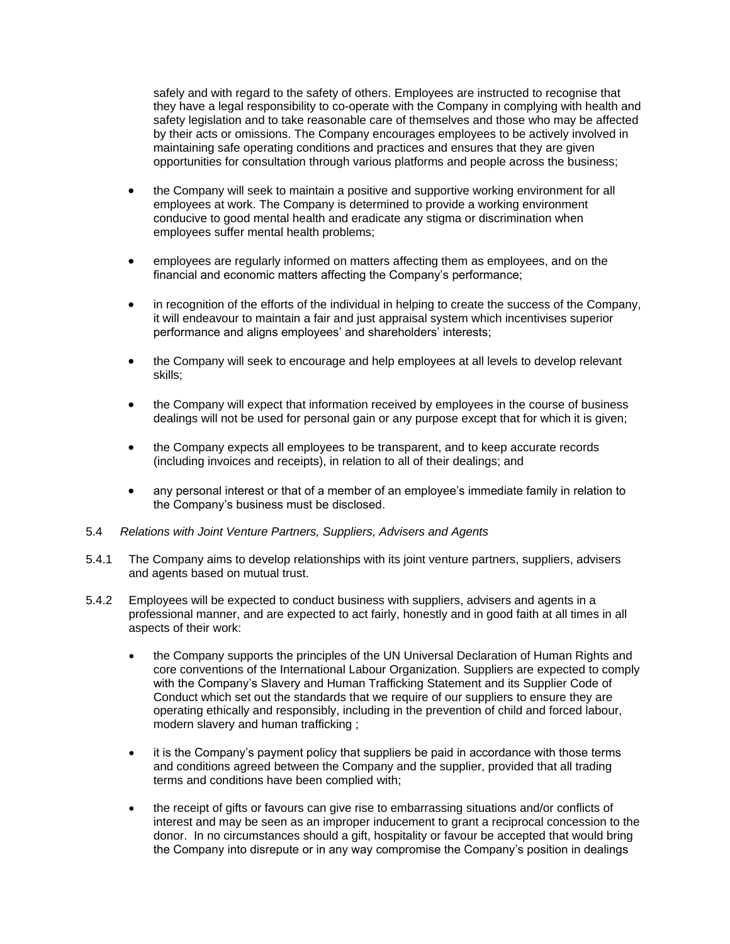safely and with regard to the safety of others. Employees are instructed to recognise that they have a legal responsibility to co-operate with the Company in complying with health and safety legislation and to take reasonable care of themselves and those who may be affected by their acts or omissions. The Company encourages employees to be actively involved in maintaining safe operating conditions and practices and ensures that they are given opportunities for consultation through various platforms and people across the business;

- the Company will seek to maintain a positive and supportive working environment for all employees at work. The Company is determined to provide a working environment conducive to good mental health and eradicate any stigma or discrimination when employees suffer mental health problems;
- employees are regularly informed on matters affecting them as employees, and on the financial and economic matters affecting the Company's performance;
- in recognition of the efforts of the individual in helping to create the success of the Company, it will endeavour to maintain a fair and just appraisal system which incentivises superior performance and aligns employees' and shareholders' interests;
- the Company will seek to encourage and help employees at all levels to develop relevant skills;
- the Company will expect that information received by employees in the course of business dealings will not be used for personal gain or any purpose except that for which it is given;
- the Company expects all employees to be transparent, and to keep accurate records (including invoices and receipts), in relation to all of their dealings; and
- any personal interest or that of a member of an employee's immediate family in relation to the Company's business must be disclosed.
- 5.4 *Relations with Joint Venture Partners, Suppliers, Advisers and Agents*
- 5.4.1 The Company aims to develop relationships with its joint venture partners, suppliers, advisers and agents based on mutual trust.
- 5.4.2 Employees will be expected to conduct business with suppliers, advisers and agents in a professional manner, and are expected to act fairly, honestly and in good faith at all times in all aspects of their work:
	- the Company supports the principles of the UN Universal Declaration of Human Rights and core conventions of the International Labour Organization. Suppliers are expected to comply with the Company's Slavery and Human Trafficking Statement and its Supplier Code of Conduct which set out the standards that we require of our suppliers to ensure they are operating ethically and responsibly, including in the prevention of child and forced labour, modern slavery and human trafficking ;
	- it is the Company's payment policy that suppliers be paid in accordance with those terms and conditions agreed between the Company and the supplier, provided that all trading terms and conditions have been complied with;
	- the receipt of gifts or favours can give rise to embarrassing situations and/or conflicts of interest and may be seen as an improper inducement to grant a reciprocal concession to the donor. In no circumstances should a gift, hospitality or favour be accepted that would bring the Company into disrepute or in any way compromise the Company's position in dealings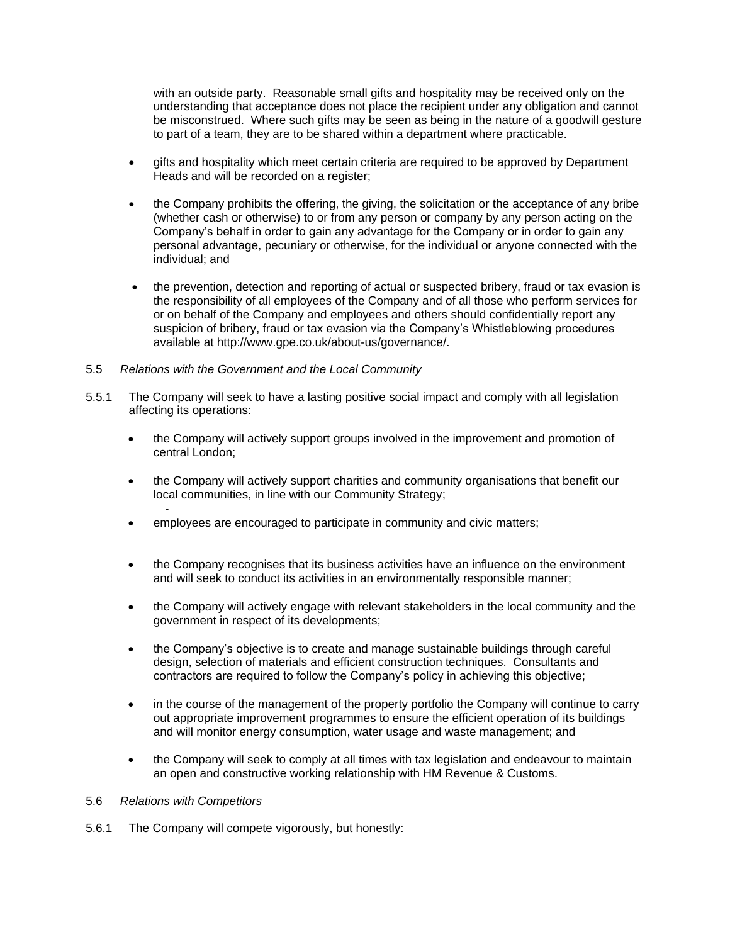with an outside party. Reasonable small gifts and hospitality may be received only on the understanding that acceptance does not place the recipient under any obligation and cannot be misconstrued. Where such gifts may be seen as being in the nature of a goodwill gesture to part of a team, they are to be shared within a department where practicable.

- gifts and hospitality which meet certain criteria are required to be approved by Department Heads and will be recorded on a register;
- the Company prohibits the offering, the giving, the solicitation or the acceptance of any bribe (whether cash or otherwise) to or from any person or company by any person acting on the Company's behalf in order to gain any advantage for the Company or in order to gain any personal advantage, pecuniary or otherwise, for the individual or anyone connected with the individual; and
- the prevention, detection and reporting of actual or suspected bribery, fraud or tax evasion is the responsibility of all employees of the Company and of all those who perform services for or on behalf of the Company and employees and others should confidentially report any suspicion of bribery, fraud or tax evasion via the Company's Whistleblowing procedures available at http://www.gpe.co.uk/about-us/governance/.
- 5.5 *Relations with the Government and the Local Community*
- 5.5.1 The Company will seek to have a lasting positive social impact and comply with all legislation affecting its operations:
	- the Company will actively support groups involved in the improvement and promotion of central London;
	- the Company will actively support charities and community organisations that benefit our local communities, in line with our Community Strategy;
	- • employees are encouraged to participate in community and civic matters;
	- the Company recognises that its business activities have an influence on the environment and will seek to conduct its activities in an environmentally responsible manner;
	- the Company will actively engage with relevant stakeholders in the local community and the government in respect of its developments;
	- the Company's objective is to create and manage sustainable buildings through careful design, selection of materials and efficient construction techniques. Consultants and contractors are required to follow the Company's policy in achieving this objective;
	- in the course of the management of the property portfolio the Company will continue to carry out appropriate improvement programmes to ensure the efficient operation of its buildings and will monitor energy consumption, water usage and waste management; and
	- the Company will seek to comply at all times with tax legislation and endeavour to maintain an open and constructive working relationship with HM Revenue & Customs.

#### 5.6 *Relations with Competitors*

5.6.1 The Company will compete vigorously, but honestly: